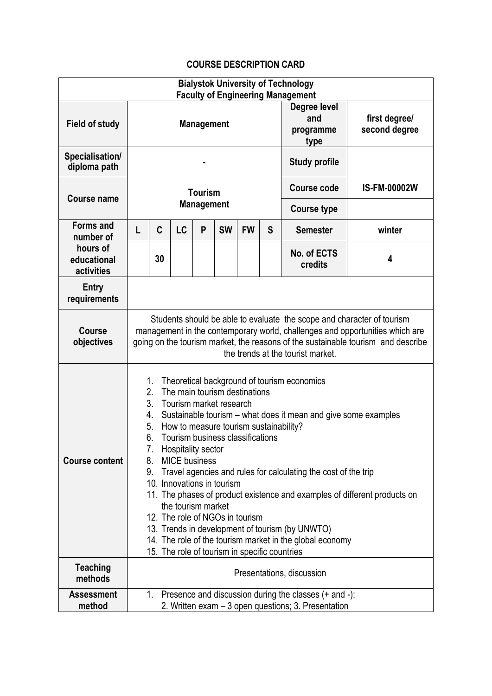## **COURSE DESCRIPTION CARD**

| <b>Bialystok University of Technology</b> |                                                                                                                                                                                                                                                                                                                                                                                                                                                                                                                                                                                                                                                                                                                                                                         |    |           |   |           |           |                                          |                                |                     |
|-------------------------------------------|-------------------------------------------------------------------------------------------------------------------------------------------------------------------------------------------------------------------------------------------------------------------------------------------------------------------------------------------------------------------------------------------------------------------------------------------------------------------------------------------------------------------------------------------------------------------------------------------------------------------------------------------------------------------------------------------------------------------------------------------------------------------------|----|-----------|---|-----------|-----------|------------------------------------------|--------------------------------|---------------------|
| <b>Field of study</b>                     | <b>Faculty of Engineering Management</b><br><b>Management</b>                                                                                                                                                                                                                                                                                                                                                                                                                                                                                                                                                                                                                                                                                                           |    |           |   |           |           | Degree level<br>and<br>programme<br>type | first degree/<br>second degree |                     |
| Specialisation/<br>diploma path           |                                                                                                                                                                                                                                                                                                                                                                                                                                                                                                                                                                                                                                                                                                                                                                         |    |           |   |           |           | <b>Study profile</b>                     |                                |                     |
| <b>Course name</b>                        | <b>Tourism</b><br><b>Management</b>                                                                                                                                                                                                                                                                                                                                                                                                                                                                                                                                                                                                                                                                                                                                     |    |           |   |           |           |                                          | <b>Course code</b>             | <b>IS-FM-00002W</b> |
|                                           |                                                                                                                                                                                                                                                                                                                                                                                                                                                                                                                                                                                                                                                                                                                                                                         |    |           |   |           |           |                                          | <b>Course type</b>             |                     |
| <b>Forms and</b><br>number of             | L                                                                                                                                                                                                                                                                                                                                                                                                                                                                                                                                                                                                                                                                                                                                                                       | C  | <b>LC</b> | P | <b>SW</b> | <b>FW</b> | S                                        | <b>Semester</b>                | winter              |
| hours of<br>educational<br>activities     |                                                                                                                                                                                                                                                                                                                                                                                                                                                                                                                                                                                                                                                                                                                                                                         | 30 |           |   |           |           |                                          | No. of ECTS<br>credits         | 4                   |
| <b>Entry</b><br>requirements              |                                                                                                                                                                                                                                                                                                                                                                                                                                                                                                                                                                                                                                                                                                                                                                         |    |           |   |           |           |                                          |                                |                     |
| <b>Course</b><br>objectives               | Students should be able to evaluate the scope and character of tourism<br>management in the contemporary world, challenges and opportunities which are<br>going on the tourism market, the reasons of the sustainable tourism and describe<br>the trends at the tourist market.                                                                                                                                                                                                                                                                                                                                                                                                                                                                                         |    |           |   |           |           |                                          |                                |                     |
| <b>Course content</b>                     | Theoretical background of tourism economics<br>1.<br>2.<br>The main tourism destinations<br>3 <sub>1</sub><br>Tourism market research<br>Sustainable tourism – what does it mean and give some examples<br>4.<br>How to measure tourism sustainability?<br>5.<br>Tourism business classifications<br>6.<br>Hospitality sector<br>8.<br><b>MICE</b> business<br>Travel agencies and rules for calculating the cost of the trip<br>9.<br>10. Innovations in tourism<br>11. The phases of product existence and examples of different products on<br>the tourism market<br>12. The role of NGOs in tourism<br>13. Trends in development of tourism (by UNWTO)<br>14. The role of the tourism market in the global economy<br>15. The role of tourism in specific countries |    |           |   |           |           |                                          |                                |                     |
| <b>Teaching</b><br>methods                | Presentations, discussion                                                                                                                                                                                                                                                                                                                                                                                                                                                                                                                                                                                                                                                                                                                                               |    |           |   |           |           |                                          |                                |                     |
| <b>Assessment</b><br>method               | Presence and discussion during the classes $(+)$ and $-)$ ;<br>1.<br>2. Written exam - 3 open questions; 3. Presentation                                                                                                                                                                                                                                                                                                                                                                                                                                                                                                                                                                                                                                                |    |           |   |           |           |                                          |                                |                     |